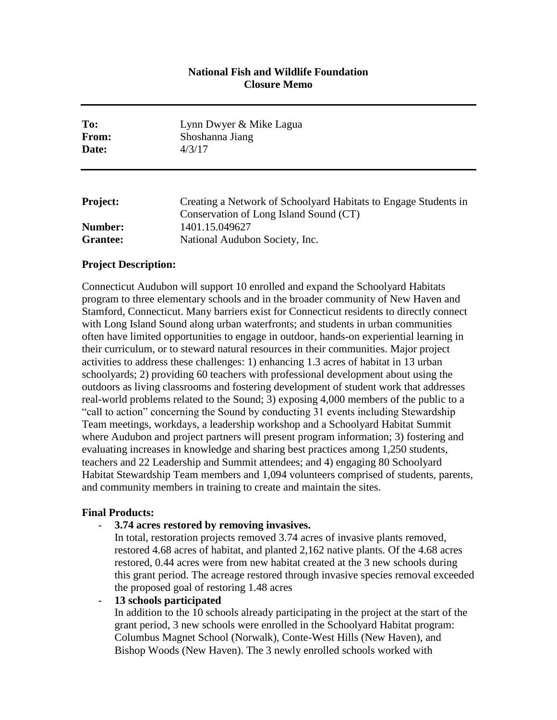# **National Fish and Wildlife Foundation Closure Memo**

| To:<br>From:<br>Date: | Lynn Dwyer & Mike Lagua<br>Shoshanna Jiang<br>4/3/17            |
|-----------------------|-----------------------------------------------------------------|
| <b>Project:</b>       | Creating a Network of Schoolyard Habitats to Engage Students in |
|                       | Conservation of Long Island Sound (CT)                          |
| Number:               | 1401.15.049627                                                  |
| Grantee:              | National Audubon Society, Inc.                                  |

## **Project Description:**

Connecticut Audubon will support 10 enrolled and expand the Schoolyard Habitats program to three elementary schools and in the broader community of New Haven and Stamford, Connecticut. Many barriers exist for Connecticut residents to directly connect with Long Island Sound along urban waterfronts; and students in urban communities often have limited opportunities to engage in outdoor, hands-on experiential learning in their curriculum, or to steward natural resources in their communities. Major project activities to address these challenges: 1) enhancing 1.3 acres of habitat in 13 urban schoolyards; 2) providing 60 teachers with professional development about using the outdoors as living classrooms and fostering development of student work that addresses real-world problems related to the Sound; 3) exposing 4,000 members of the public to a "call to action" concerning the Sound by conducting 31 events including Stewardship Team meetings, workdays, a leadership workshop and a Schoolyard Habitat Summit where Audubon and project partners will present program information; 3) fostering and evaluating increases in knowledge and sharing best practices among 1,250 students, teachers and 22 Leadership and Summit attendees; and 4) engaging 80 Schoolyard Habitat Stewardship Team members and 1,094 volunteers comprised of students, parents, and community members in training to create and maintain the sites.

#### **Final Products:**

- **3.74 acres restored by removing invasives.**

In total, restoration projects removed 3.74 acres of invasive plants removed, restored 4.68 acres of habitat, and planted 2,162 native plants. Of the 4.68 acres restored, 0.44 acres were from new habitat created at the 3 new schools during this grant period. The acreage restored through invasive species removal exceeded the proposed goal of restoring 1.48 acres

- **13 schools participated**

In addition to the 10 schools already participating in the project at the start of the grant period, 3 new schools were enrolled in the Schoolyard Habitat program: Columbus Magnet School (Norwalk), Conte-West Hills (New Haven), and Bishop Woods (New Haven). The 3 newly enrolled schools worked with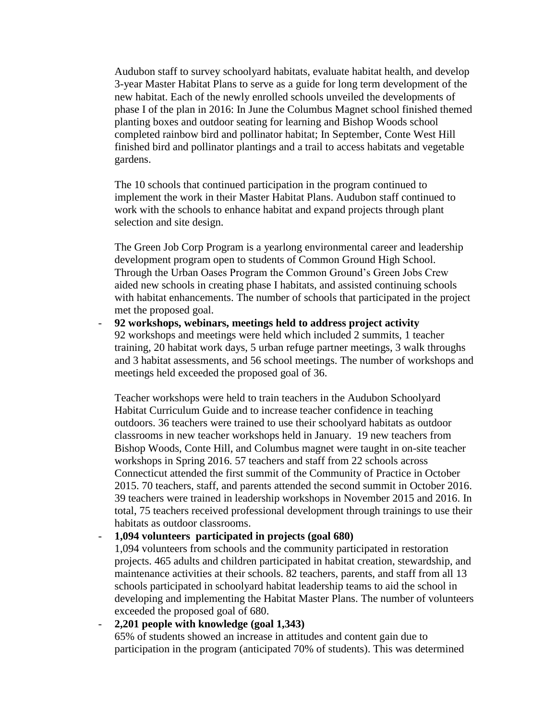Audubon staff to survey schoolyard habitats, evaluate habitat health, and develop 3-year Master Habitat Plans to serve as a guide for long term development of the new habitat. Each of the newly enrolled schools unveiled the developments of phase I of the plan in 2016: In June the Columbus Magnet school finished themed planting boxes and outdoor seating for learning and Bishop Woods school completed rainbow bird and pollinator habitat; In September, Conte West Hill finished bird and pollinator plantings and a trail to access habitats and vegetable gardens.

The 10 schools that continued participation in the program continued to implement the work in their Master Habitat Plans. Audubon staff continued to work with the schools to enhance habitat and expand projects through plant selection and site design.

The Green Job Corp Program is a yearlong environmental career and leadership development program open to students of Common Ground High School. Through the Urban Oases Program the Common Ground's Green Jobs Crew aided new schools in creating phase I habitats, and assisted continuing schools with habitat enhancements. The number of schools that participated in the project met the proposed goal.

- **92 workshops, webinars, meetings held to address project activity** 92 workshops and meetings were held which included 2 summits, 1 teacher training, 20 habitat work days, 5 urban refuge partner meetings, 3 walk throughs and 3 habitat assessments, and 56 school meetings. The number of workshops and meetings held exceeded the proposed goal of 36.

Teacher workshops were held to train teachers in the Audubon Schoolyard Habitat Curriculum Guide and to increase teacher confidence in teaching outdoors. 36 teachers were trained to use their schoolyard habitats as outdoor classrooms in new teacher workshops held in January. 19 new teachers from Bishop Woods, Conte Hill, and Columbus magnet were taught in on-site teacher workshops in Spring 2016. 57 teachers and staff from 22 schools across Connecticut attended the first summit of the Community of Practice in October 2015. 70 teachers, staff, and parents attended the second summit in October 2016. 39 teachers were trained in leadership workshops in November 2015 and 2016. In total, 75 teachers received professional development through trainings to use their habitats as outdoor classrooms.

## - **1,094 volunteers participated in projects (goal 680)**

1,094 volunteers from schools and the community participated in restoration projects. 465 adults and children participated in habitat creation, stewardship, and maintenance activities at their schools. 82 teachers, parents, and staff from all 13 schools participated in schoolyard habitat leadership teams to aid the school in developing and implementing the Habitat Master Plans. The number of volunteers exceeded the proposed goal of 680.

## - **2,201 people with knowledge (goal 1,343)** 65% of students showed an increase in attitudes and content gain due to participation in the program (anticipated 70% of students). This was determined